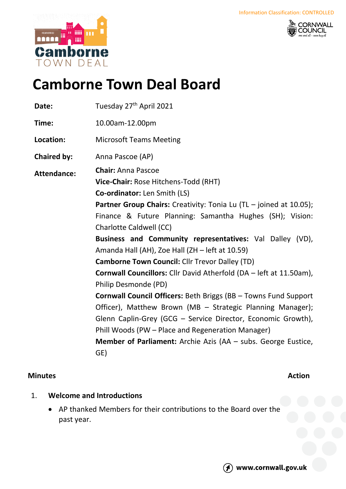



# **Camborne Town Deal Board**

| Date:              | Tuesday 27 <sup>th</sup> April 2021                                                                                                                                                                                                                                                                                               |
|--------------------|-----------------------------------------------------------------------------------------------------------------------------------------------------------------------------------------------------------------------------------------------------------------------------------------------------------------------------------|
| Time:              | 10.00am-12.00pm                                                                                                                                                                                                                                                                                                                   |
| Location:          | <b>Microsoft Teams Meeting</b>                                                                                                                                                                                                                                                                                                    |
| <b>Chaired by:</b> | Anna Pascoe (AP)                                                                                                                                                                                                                                                                                                                  |
| <b>Attendance:</b> | <b>Chair: Anna Pascoe</b><br>Vice-Chair: Rose Hitchens-Todd (RHT)<br>Co-ordinator: Len Smith (LS)                                                                                                                                                                                                                                 |
|                    | Partner Group Chairs: Creativity: Tonia Lu (TL - joined at 10.05);<br>Finance & Future Planning: Samantha Hughes (SH); Vision:<br><b>Charlotte Caldwell (CC)</b>                                                                                                                                                                  |
|                    | Business and Community representatives: Val Dalley (VD),<br>Amanda Hall (AH), Zoe Hall (ZH - left at 10.59)                                                                                                                                                                                                                       |
|                    | <b>Camborne Town Council: Cllr Trevor Dalley (TD)</b>                                                                                                                                                                                                                                                                             |
|                    | <b>Cornwall Councillors:</b> Cllr David Atherfold (DA – left at 11.50am),<br>Philip Desmonde (PD)                                                                                                                                                                                                                                 |
|                    | Cornwall Council Officers: Beth Briggs (BB - Towns Fund Support<br>Officer), Matthew Brown (MB - Strategic Planning Manager);<br>Glenn Caplin-Grey (GCG - Service Director, Economic Growth),<br>Phill Woods (PW – Place and Regeneration Manager)<br><b>Member of Parliament:</b> Archie Azis (AA - subs. George Eustice,<br>GE) |

## **Minutes Action**

- 1. **Welcome and Introductions**
	- AP thanked Members for their contributions to the Board over the past year.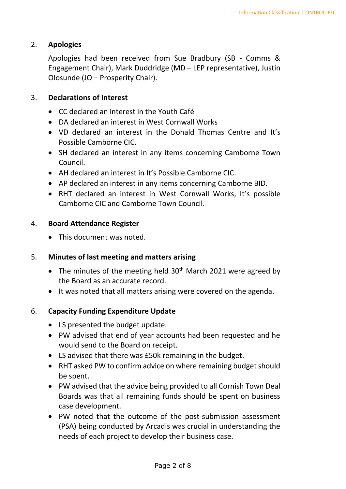## 2. **Apologies**

Apologies had been received from Sue Bradbury (SB - Comms & Engagement Chair), Mark Duddridge (MD – LEP representative), Justin Olosunde (JO – Prosperity Chair).

#### 3. **Declarations of Interest**

- CC declared an interest in the Youth Café
- DA declared an interest in West Cornwall Works
- VD declared an interest in the Donald Thomas Centre and It's Possible Camborne CIC.
- SH declared an interest in any items concerning Camborne Town Council.
- AH declared an interest in It's Possible Camborne CIC.
- AP declared an interest in any items concerning Camborne BID.
- RHT declared an interest in West Cornwall Works, It's possible Camborne CIC and Camborne Town Council.

#### 4. **Board Attendance Register**

• This document was noted.

## 5. **Minutes of last meeting and matters arising**

- The minutes of the meeting held  $30<sup>th</sup>$  March 2021 were agreed by the Board as an accurate record.
- It was noted that all matters arising were covered on the agenda.

## 6. **Capacity Funding Expenditure Update**

- LS presented the budget update.
- PW advised that end of year accounts had been requested and he would send to the Board on receipt.
- LS advised that there was £50k remaining in the budget.
- RHT asked PW to confirm advice on where remaining budget should be spent.
- PW advised that the advice being provided to all Cornish Town Deal Boards was that all remaining funds should be spent on business case development.
- PW noted that the outcome of the post-submission assessment (PSA) being conducted by Arcadis was crucial in understanding the needs of each project to develop their business case.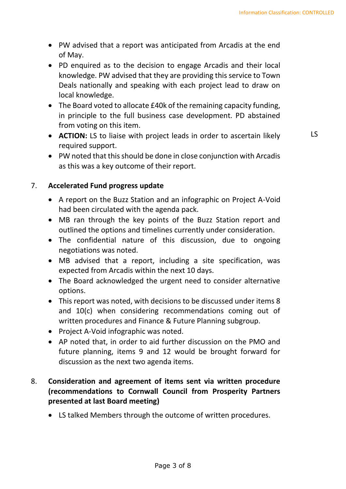- PW advised that a report was anticipated from Arcadis at the end of May.
- PD enquired as to the decision to engage Arcadis and their local knowledge. PW advised that they are providing this service to Town Deals nationally and speaking with each project lead to draw on local knowledge.
- The Board voted to allocate £40k of the remaining capacity funding, in principle to the full business case development. PD abstained from voting on this item.
- **ACTION:** LS to liaise with project leads in order to ascertain likely required support.

LS

• PW noted that this should be done in close conjunction with Arcadis as this was a key outcome of their report.

## 7. **Accelerated Fund progress update**

- A report on the Buzz Station and an infographic on Project A-Void had been circulated with the agenda pack.
- MB ran through the key points of the Buzz Station report and outlined the options and timelines currently under consideration.
- The confidential nature of this discussion, due to ongoing negotiations was noted.
- MB advised that a report, including a site specification, was expected from Arcadis within the next 10 days.
- The Board acknowledged the urgent need to consider alternative options.
- This report was noted, with decisions to be discussed under items 8 and 10(c) when considering recommendations coming out of written procedures and Finance & Future Planning subgroup.
- Project A-Void infographic was noted.
- AP noted that, in order to aid further discussion on the PMO and future planning, items 9 and 12 would be brought forward for discussion as the next two agenda items.

## 8. **Consideration and agreement of items sent via written procedure (recommendations to Cornwall Council from Prosperity Partners presented at last Board meeting)**

• LS talked Members through the outcome of written procedures.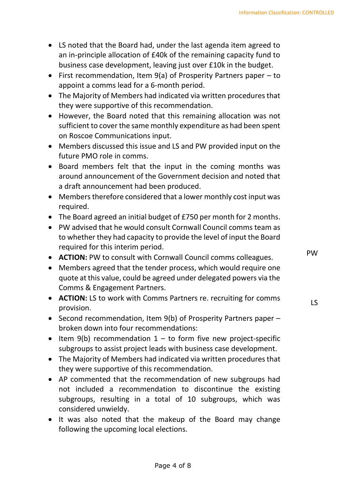- LS noted that the Board had, under the last agenda item agreed to an in-principle allocation of £40k of the remaining capacity fund to business case development, leaving just over £10k in the budget.
- First recommendation, Item 9(a) of Prosperity Partners paper to appoint a comms lead for a 6-month period.
- The Majority of Members had indicated via written procedures that they were supportive of this recommendation.
- However, the Board noted that this remaining allocation was not sufficient to cover the same monthly expenditure as had been spent on Roscoe Communications input.
- Members discussed this issue and LS and PW provided input on the future PMO role in comms.
- Board members felt that the input in the coming months was around announcement of the Government decision and noted that a draft announcement had been produced.
- Members therefore considered that a lower monthly cost input was required.
- The Board agreed an initial budget of £750 per month for 2 months.
- PW advised that he would consult Cornwall Council comms team as to whether they had capacity to provide the level of input the Board required for this interim period.
- **ACTION:** PW to consult with Cornwall Council comms colleagues.
- Members agreed that the tender process, which would require one quote at this value, could be agreed under delegated powers via the Comms & Engagement Partners.
- **ACTION:** LS to work with Comms Partners re. recruiting for comms provision.
- Second recommendation, Item 9(b) of Prosperity Partners paper broken down into four recommendations:
- Item  $9(b)$  recommendation  $1 -$  to form five new project-specific subgroups to assist project leads with business case development.
- The Majority of Members had indicated via written procedures that they were supportive of this recommendation.
- AP commented that the recommendation of new subgroups had not included a recommendation to discontinue the existing subgroups, resulting in a total of 10 subgroups, which was considered unwieldy.
- It was also noted that the makeup of the Board may change following the upcoming local elections.

PW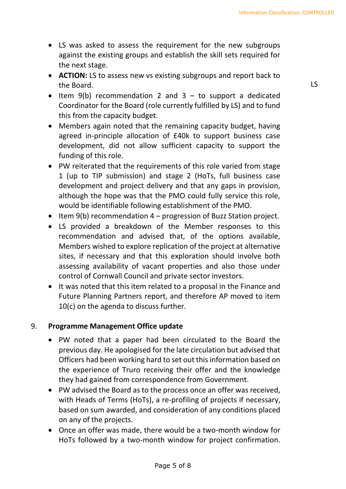- LS was asked to assess the requirement for the new subgroups against the existing groups and establish the skill sets required for the next stage.
- **ACTION:** LS to assess new vs existing subgroups and report back to the Board.
- $\bullet$  Item 9(b) recommendation 2 and 3 to support a dedicated Coordinator for the Board (role currently fulfilled by LS) and to fund this from the capacity budget.
- Members again noted that the remaining capacity budget, having agreed in-principle allocation of £40k to support business case development, did not allow sufficient capacity to support the funding of this role.
- PW reiterated that the requirements of this role varied from stage 1 (up to TIP submission) and stage 2 (HoTs, full business case development and project delivery and that any gaps in provision, although the hope was that the PMO could fully service this role, would be identifiable following establishment of the PMO.
- Item 9(b) recommendation 4 progression of Buzz Station project.
- LS provided a breakdown of the Member responses to this recommendation and advised that, of the options available, Members wished to explore replication of the project at alternative sites, if necessary and that this exploration should involve both assessing availability of vacant properties and also those under control of Cornwall Council and private sector investors.
- It was noted that this item related to a proposal in the Finance and Future Planning Partners report, and therefore AP moved to item 10(c) on the agenda to discuss further.

## 9. **Programme Management Office update**

- PW noted that a paper had been circulated to the Board the previous day. He apologised for the late circulation but advised that Officers had been working hard to set out this information based on the experience of Truro receiving their offer and the knowledge they had gained from correspondence from Government.
- PW advised the Board as to the process once an offer was received, with Heads of Terms (HoTs), a re-profiling of projects if necessary, based on sum awarded, and consideration of any conditions placed on any of the projects.
- Once an offer was made, there would be a two-month window for HoTs followed by a two-month window for project confirmation.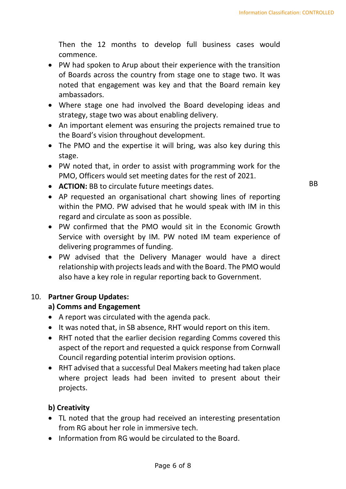Then the 12 months to develop full business cases would commence.

- PW had spoken to Arup about their experience with the transition of Boards across the country from stage one to stage two. It was noted that engagement was key and that the Board remain key ambassadors.
- Where stage one had involved the Board developing ideas and strategy, stage two was about enabling delivery.
- An important element was ensuring the projects remained true to the Board's vision throughout development.
- The PMO and the expertise it will bring, was also key during this stage.
- PW noted that, in order to assist with programming work for the PMO, Officers would set meeting dates for the rest of 2021.
- **ACTION:** BB to circulate future meetings dates.
- AP requested an organisational chart showing lines of reporting within the PMO. PW advised that he would speak with IM in this regard and circulate as soon as possible.
- PW confirmed that the PMO would sit in the Economic Growth Service with oversight by IM. PW noted IM team experience of delivering programmes of funding.
- PW advised that the Delivery Manager would have a direct relationship with projects leads and with the Board. The PMO would also have a key role in regular reporting back to Government.

## 10. **Partner Group Updates:**

## **a) Comms and Engagement**

- A report was circulated with the agenda pack.
- It was noted that, in SB absence, RHT would report on this item.
- RHT noted that the earlier decision regarding Comms covered this aspect of the report and requested a quick response from Cornwall Council regarding potential interim provision options.
- RHT advised that a successful Deal Makers meeting had taken place where project leads had been invited to present about their projects.

## **b) Creativity**

- TL noted that the group had received an interesting presentation from RG about her role in immersive tech.
- Information from RG would be circulated to the Board.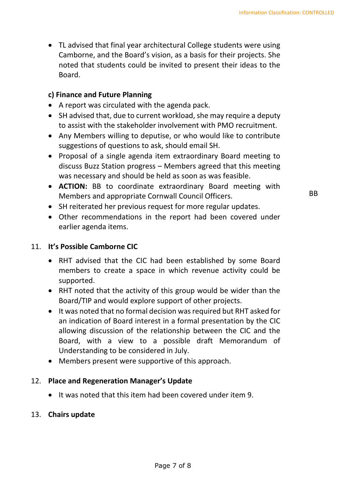• TL advised that final year architectural College students were using Camborne, and the Board's vision, as a basis for their projects. She noted that students could be invited to present their ideas to the Board.

## **c) Finance and Future Planning**

- A report was circulated with the agenda pack.
- SH advised that, due to current workload, she may require a deputy to assist with the stakeholder involvement with PMO recruitment.
- Any Members willing to deputise, or who would like to contribute suggestions of questions to ask, should email SH.
- Proposal of a single agenda item extraordinary Board meeting to discuss Buzz Station progress – Members agreed that this meeting was necessary and should be held as soon as was feasible.
- **ACTION:** BB to coordinate extraordinary Board meeting with Members and appropriate Cornwall Council Officers.
- SH reiterated her previous request for more regular updates.
- Other recommendations in the report had been covered under earlier agenda items.

## 11. **It's Possible Camborne CIC**

- RHT advised that the CIC had been established by some Board members to create a space in which revenue activity could be supported.
- RHT noted that the activity of this group would be wider than the Board/TIP and would explore support of other projects.
- It was noted that no formal decision was required but RHT asked for an indication of Board interest in a formal presentation by the CIC allowing discussion of the relationship between the CIC and the Board, with a view to a possible draft Memorandum of Understanding to be considered in July.
- Members present were supportive of this approach.

## 12. **Place and Regeneration Manager's Update**

• It was noted that this item had been covered under item 9.

## 13. **Chairs update**